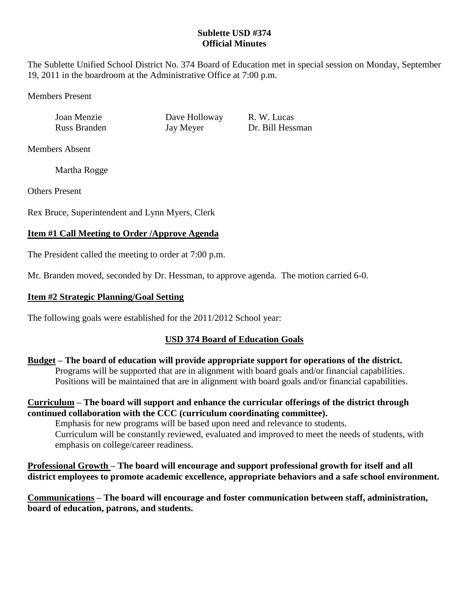### **Sublette USD #374 Official Minutes**

The Sublette Unified School District No. 374 Board of Education met in special session on Monday, September 19, 2011 in the boardroom at the Administrative Office at 7:00 p.m.

Members Present

Joan Menzie Dave Holloway R. W. Lucas

Russ Branden Jay Meyer Dr. Bill Hessman

Members Absent

Martha Rogge

Others Present

Rex Bruce, Superintendent and Lynn Myers, Clerk

# **Item #1 Call Meeting to Order /Approve Agenda**

The President called the meeting to order at 7:00 p.m.

Mr. Branden moved, seconded by Dr. Hessman, to approve agenda. The motion carried 6-0.

### **Item #2 Strategic Planning/Goal Setting**

The following goals were established for the 2011/2012 School year:

# **USD 374 Board of Education Goals**

**Budget – The board of education will provide appropriate support for operations of the district.** Programs will be supported that are in alignment with board goals and/or financial capabilities. Positions will be maintained that are in alignment with board goals and/or financial capabilities.

**Curriculum – The board will support and enhance the curricular offerings of the district through continued collaboration with the CCC (curriculum coordinating committee).**

Emphasis for new programs will be based upon need and relevance to students. Curriculum will be constantly reviewed, evaluated and improved to meet the needs of students, with emphasis on college/career readiness.

**Professional Growth – The board will encourage and support professional growth for itself and all district employees to promote academic excellence, appropriate behaviors and a safe school environment.**

**Communications – The board will encourage and foster communication between staff, administration, board of education, patrons, and students.**